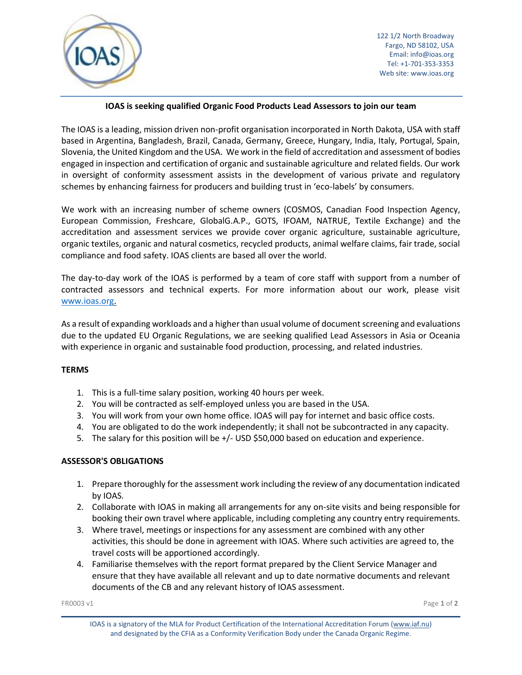

# **IOAS is seeking qualified Organic Food Products Lead Assessors to join our team**

The IOAS is a leading, mission driven non-profit organisation incorporated in North Dakota, USA with staff based in Argentina, Bangladesh, Brazil, Canada, Germany, Greece, Hungary, India, Italy, Portugal, Spain, Slovenia, the United Kingdom and the USA. We work in the field of accreditation and assessment of bodies engaged in inspection and certification of organic and sustainable agriculture and related fields. Our work in oversight of conformity assessment assists in the development of various private and regulatory schemes by enhancing fairness for producers and building trust in 'eco-labels' by consumers.

We work with an increasing number of scheme owners (COSMOS, Canadian Food Inspection Agency, European Commission, Freshcare, GlobalG.A.P., GOTS, IFOAM, NATRUE, Textile Exchange) and the accreditation and assessment services we provide cover organic agriculture, sustainable agriculture, organic textiles, organic and natural cosmetics, recycled products, animal welfare claims, fair trade, social compliance and food safety. IOAS clients are based all over the world.

The day-to-day work of the IOAS is performed by a team of core staff with support from a number of contracted assessors and technical experts. For more information about our work, please visit [www.ioas.org.](http://www.ioas.org/)

As a result of expanding workloads and a higher than usual volume of document screening and evaluations due to the updated EU Organic Regulations, we are seeking qualified Lead Assessors in Asia or Oceania with experience in organic and sustainable food production, processing, and related industries.

## **TERMS**

- 1. This is a full-time salary position, working 40 hours per week.
- 2. You will be contracted as self-employed unless you are based in the USA.
- 3. You will work from your own home office. IOAS will pay for internet and basic office costs.
- 4. You are obligated to do the work independently; it shall not be subcontracted in any capacity.
- 5. The salary for this position will be +/- USD \$50,000 based on education and experience.

## **ASSESSOR'S OBLIGATIONS**

- 1. Prepare thoroughly for the assessment work including the review of any documentation indicated by IOAS.
- 2. Collaborate with IOAS in making all arrangements for any on-site visits and being responsible for booking their own travel where applicable, including completing any country entry requirements.
- 3. Where travel, meetings or inspections for any assessment are combined with any other activities, this should be done in agreement with IOAS. Where such activities are agreed to, the travel costs will be apportioned accordingly.
- 4. Familiarise themselves with the report format prepared by the Client Service Manager and ensure that they have available all relevant and up to date normative documents and relevant documents of the CB and any relevant history of IOAS assessment.

IOAS is a signatory of the MLA for Product Certification of the International Accreditation Forum [\(www.iaf.nu\)](http://www.iaf.nu/) and designated by the CFIA as a Conformity Verification Body under the Canada Organic Regime.